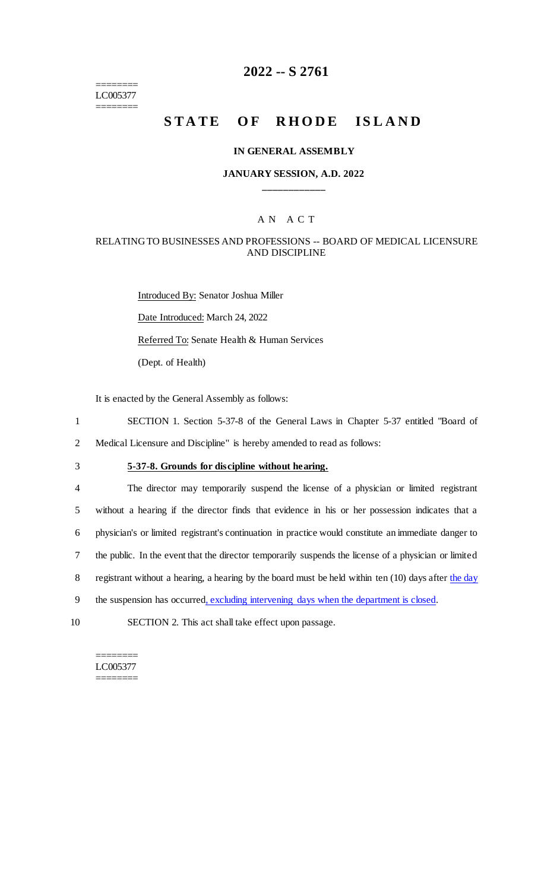======== LC005377 ========

# **2022 -- S 2761**

# **STATE OF RHODE ISLAND**

#### **IN GENERAL ASSEMBLY**

### **JANUARY SESSION, A.D. 2022 \_\_\_\_\_\_\_\_\_\_\_\_**

### A N A C T

### RELATING TO BUSINESSES AND PROFESSIONS -- BOARD OF MEDICAL LICENSURE AND DISCIPLINE

Introduced By: Senator Joshua Miller Date Introduced: March 24, 2022 Referred To: Senate Health & Human Services (Dept. of Health)

It is enacted by the General Assembly as follows:

1 SECTION 1. Section 5-37-8 of the General Laws in Chapter 5-37 entitled "Board of 2 Medical Licensure and Discipline" is hereby amended to read as follows:

## 3 **5-37-8. Grounds for discipline without hearing.**

 The director may temporarily suspend the license of a physician or limited registrant without a hearing if the director finds that evidence in his or her possession indicates that a physician's or limited registrant's continuation in practice would constitute an immediate danger to the public. In the event that the director temporarily suspends the license of a physician or limited 8 registrant without a hearing, a hearing by the board must be held within ten (10) days after the day 9 the suspension has occurred, excluding intervening days when the department is closed.

10 SECTION 2. This act shall take effect upon passage.

======== LC005377 ========